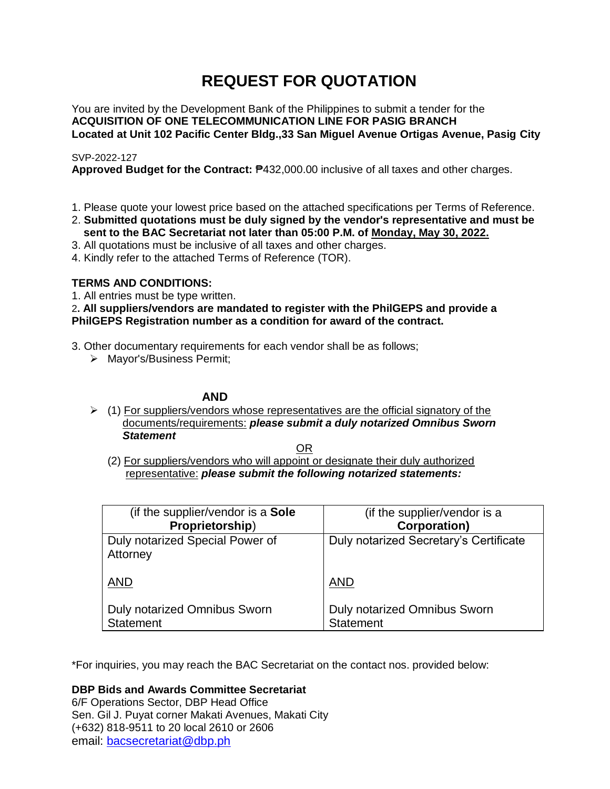# **REQUEST FOR QUOTATION**

You are invited by the Development Bank of the Philippines to submit a tender for the **ACQUISITION OF ONE TELECOMMUNICATION LINE FOR PASIG BRANCH Located at Unit 102 Pacific Center Bldg.,33 San Miguel Avenue Ortigas Avenue, Pasig City**

# SVP-2022-127

**Approved Budget for the Contract:** ₱432,000.00 inclusive of all taxes and other charges.

- 1. Please quote your lowest price based on the attached specifications per Terms of Reference.
- 2. **Submitted quotations must be duly signed by the vendor's representative and must be sent to the BAC Secretariat not later than 05:00 P.M. of Monday, May 30, 2022.**
- 3. All quotations must be inclusive of all taxes and other charges.
- 4. Kindly refer to the attached Terms of Reference (TOR).

# **TERMS AND CONDITIONS:**

1. All entries must be type written.

2**. All suppliers/vendors are mandated to register with the PhilGEPS and provide a PhilGEPS Registration number as a condition for award of the contract.**

- 3. Other documentary requirements for each vendor shall be as follows;
	- > Mayor's/Business Permit;

# **AND**

 $(1)$  For suppliers/vendors whose representatives are the official signatory of the documents/requirements: *please submit a duly notarized Omnibus Sworn Statement*

<u>OR Starting and the Starting OR Starting</u>

(2) For suppliers/vendors who will appoint or designate their duly authorized representative: *please submit the following notarized statements:*

| (if the supplier/vendor is a Sole                | (if the supplier/vendor is a                     |
|--------------------------------------------------|--------------------------------------------------|
| Proprietorship)                                  | <b>Corporation)</b>                              |
| Duly notarized Special Power of<br>Attorney      | Duly notarized Secretary's Certificate           |
| <b>AND</b>                                       | <b>AND</b>                                       |
| Duly notarized Omnibus Sworn<br><b>Statement</b> | Duly notarized Omnibus Sworn<br><b>Statement</b> |

\*For inquiries, you may reach the BAC Secretariat on the contact nos. provided below:

**DBP Bids and Awards Committee Secretariat** 

6/F Operations Sector, DBP Head Office Sen. Gil J. Puyat corner Makati Avenues, Makati City (+632) 818-9511 to 20 local 2610 or 2606 email: [bacsecretariat@dbp.ph](mailto:bacsecretariat@dbp.ph)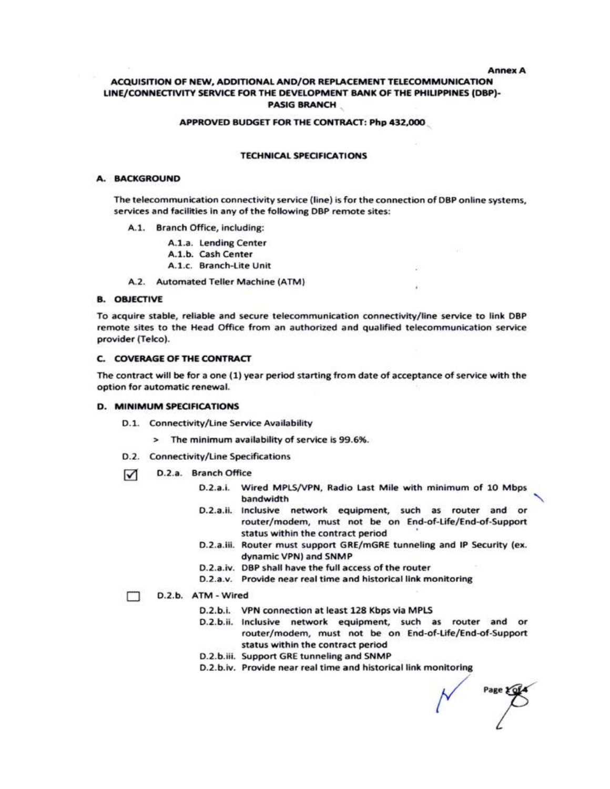**Annex A** 

# ACQUISITION OF NEW, ADDITIONAL AND/OR REPLACEMENT TELECOMMUNICATION LINE/CONNECTIVITY SERVICE FOR THE DEVELOPMENT BANK OF THE PHILIPPINES (DBP)-**PASIG BRANCH**

#### APPROVED BUDGET FOR THE CONTRACT: Php 432,000

#### **TECHNICAL SPECIFICATIONS**

#### A. BACKGROUND

The telecommunication connectivity service (line) is for the connection of DBP online systems, services and facilities in any of the following DBP remote sites:

- A.1. Branch Office, including:
	- A.1.a. Lending Center
	- A.1.b. Cash Center
	- A.1.c. Branch-Lite Unit
- A.2. Automated Teller Machine (ATM)

#### **B. OBJECTIVE**

To acquire stable, reliable and secure telecommunication connectivity/line service to link DBP remote sites to the Head Office from an authorized and qualified telecommunication service provider (Telco).

#### **C. COVERAGE OF THE CONTRACT**

The contract will be for a one (1) year period starting from date of acceptance of service with the option for automatic renewal.

#### D. MINIMUM SPECIFICATIONS

- D.1. Connectivity/Line Service Availability
	- > The minimum availability of service is 99.6%.
- D.2. Connectivity/Line Specifications
- D.2.a. Branch Office ☑
	- D.2.a.i. Wired MPLS/VPN, Radio Last Mile with minimum of 10 Mbps bandwidth
	- D.2.a.ii. Inclusive network equipment, such as router and or router/modem, must not be on End-of-Life/End-of-Support status within the contract period
	- D.2.a.iii. Router must support GRE/mGRE tunneling and IP Security (ex. dynamic VPN) and SNMP
	- D.2.a.iv. DBP shall have the full access of the router
	- D.2.a.v. Provide near real time and historical link monitoring

#### D.2.b. ATM - Wired т

- D.2.b.i. VPN connection at least 128 Kbps via MPLS
- D.2.b.ii. Inclusive network equipment, such as router and or router/modem, must not be on End-of-Life/End-of-Support status within the contract period
- D.2.b.iii. Support GRE tunneling and SNMP
- D.2.b.iv. Provide near real time and historical link monitoring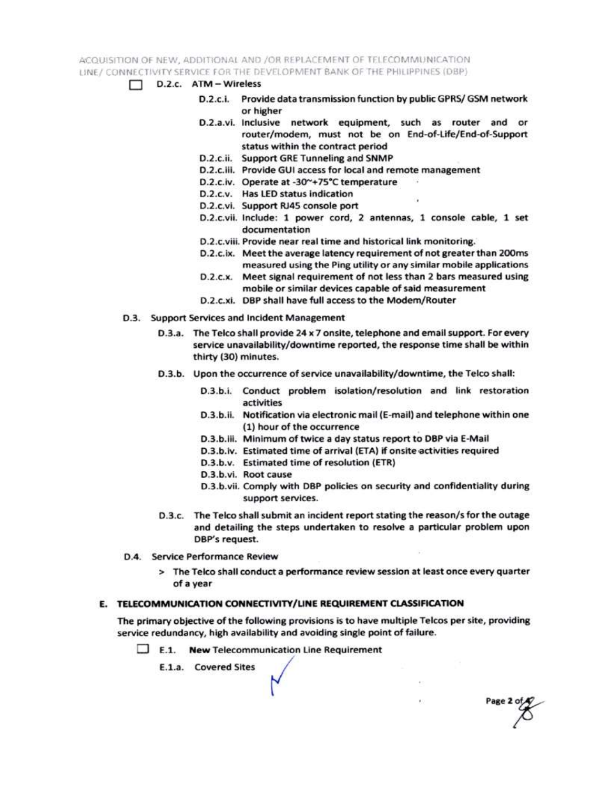ACQUISITION OF NEW, ADDITIONAL AND /OR REPLACEMENT OF TELECOMMUNICATION LINE / CONNECTIVITY SERVICE FOR THE DEVELOPMENT BANK OF THE PHILIPPINES (DBP)

- $\Box$  D.2.c.  $ATM Wireless$ 
	- D.2.c.i. Provide data transmission function by public GPRS/ GSM network or higher
	- D.2.a.vi. Inclusive network equipment, such as router and or router/modem, must not be on End-of-Life/End-of-Support status within the contract period
	- D.2.c.ii. Support GRE Tunneling and SNMP
	- D.2.c.iii. Provide GUI access for local and remote management
	- D.2.c.iv. Operate at -30~+75°C temperature
	- D.2.c.v. Has LED status indication
	- D.2.c.vi. Support RJ45 console port
	- D.2.c.vii. Include: 1 power cord, 2 antennas, 1 console cable, 1 set documentation
	- D.2.c.viii. Provide near real time and historical link monitoring.
	- D.2.c.ix. Meet the average latency requirement of not greater than 200ms measured using the Ping utility or any similar mobile applications
	- D.2.c.x. Meet signal requirement of not less than 2 bars measured using mobile or similar devices capable of said measurement
	- D.2.c.xi. DBP shall have full access to the Modem/Router
- D.3. Support Services and Incident Management
	- D.3.a. The Telco shall provide 24 x 7 onsite, telephone and email support. For every service unavailability/downtime reported, the response time shall be within thirty (30) minutes.
	- D.3.b. Upon the occurrence of service unavailability/downtime, the Telco shall:
		- D.3.b.i. Conduct problem isolation/resolution and link restoration activities
		- D.3.b.ii. Notification via electronic mail (E-mail) and telephone within one (1) hour of the occurrence
		- D.3.b.iii. Minimum of twice a day status report to DBP via E-Mail
		- D.3.b.iv. Estimated time of arrival (ETA) if onsite activities required
		- D.3.b.v. Estimated time of resolution (ETR)
		- D.3.b.vi. Root cause
		- D.3.b.vii. Comply with DBP policies on security and confidentiality during support services.

Page 2 of

- D.3.c. The Telco shall submit an incident report stating the reason/s for the outage and detailing the steps undertaken to resolve a particular problem upon DBP's request.
- D.4. Service Performance Review
	- > The Telco shall conduct a performance review session at least once every quarter of a year

# E. TELECOMMUNICATION CONNECTIVITY/LINE REQUIREMENT CLASSIFICATION

The primary objective of the following provisions is to have multiple Telcos per site, providing service redundancy, high availability and avoiding single point of failure.

 $\Box$  E.1. New Telecommunication Line Requirement

E.1.a. Covered Sites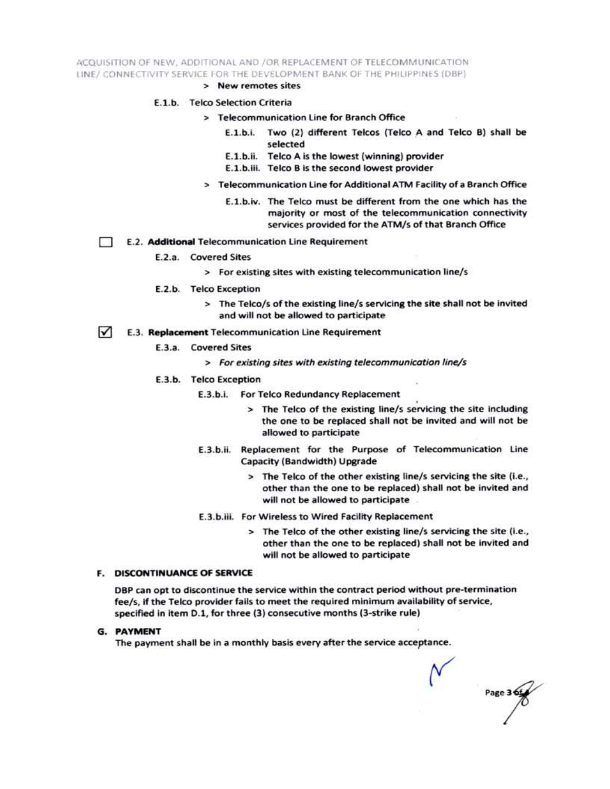ACQUISITION OF NEW, ADDITIONAL AND /OR REPLACEMENT OF TELECOMMUNICATION LINE/ CONNECTIVITY SERVICE FOR THE DEVELOPMENT BANK OF THE PHILIPPINES (DBP)

> New remotes sites

### E.1.b. Telco Selection Criteria

- > Telecommunication Line for Branch Office
	- E.1.b.i. Two (2) different Telcos (Telco A and Telco B) shall be selected
	- E.1.b.ii. Telco A is the lowest (winning) provider
	- E.1.b.iii. Telco B is the second lowest provider
- > Telecommunication Line for Additional ATM Facility of a Branch Office
	- E.1.b.iv. The Telco must be different from the one which has the majority or most of the telecommunication connectivity services provided for the ATM/s of that Branch Office
- E.2. Additional Telecommunication Line Requirement Ð
	- E.2.a. Covered Sites
		- > For existing sites with existing telecommunication line/s
	- E.2.b. Telco Exception
		- > The Telco/s of the existing line/s servicing the site shall not be invited and will not be allowed to participate
- $\sqrt{ }$ E.3. Replacement Telecommunication Line Requirement
	- E.3.a. Covered Sites
		- > For existing sites with existing telecommunication line/s
	- E.3.b. Telco Exception
		- E.3.b.i. For Telco Redundancy Replacement
			- > The Telco of the existing line/s servicing the site including the one to be replaced shall not be invited and will not be allowed to participate
		- E.3.b.ii. Replacement for the Purpose of Telecommunication Line Capacity (Bandwidth) Upgrade
			- > The Telco of the other existing line/s servicing the site (i.e., other than the one to be replaced) shall not be invited and will not be allowed to participate
		- E.3.b.iii. For Wireless to Wired Facility Replacement
			- > The Telco of the other existing line/s servicing the site (i.e., other than the one to be replaced) shall not be invited and will not be allowed to participate

#### **F. DISCONTINUANCE OF SERVICE**

DBP can opt to discontinue the service within the contract period without pre-termination fee/s, if the Telco provider fails to meet the required minimum availability of service, specified in item D.1, for three (3) consecutive months (3-strike rule)

**G. PAYMENT** 

The payment shall be in a monthly basis every after the service acceptance.

Page 3 6t